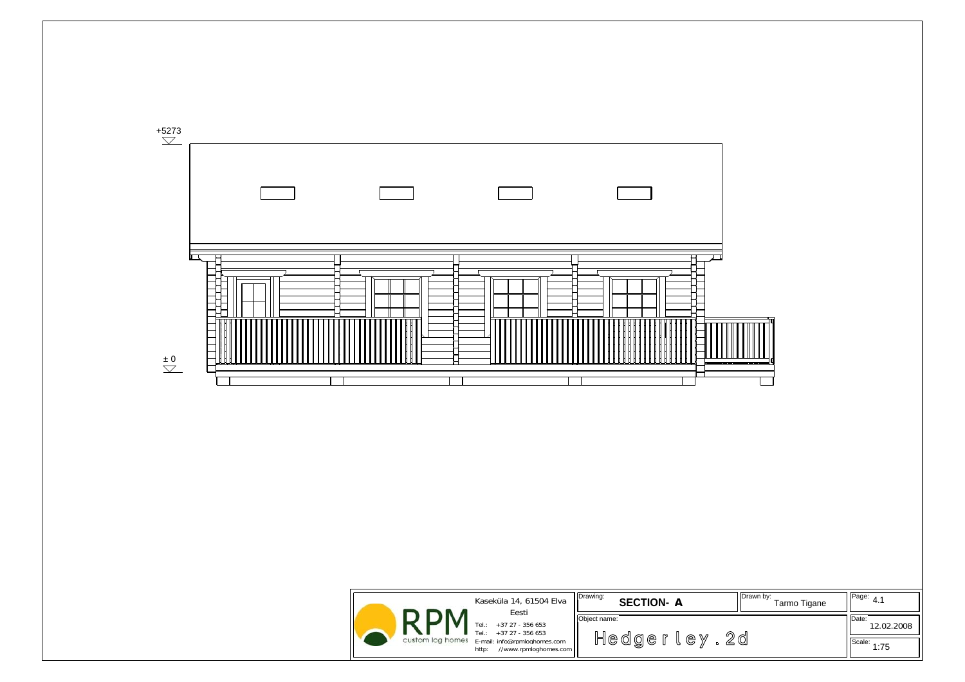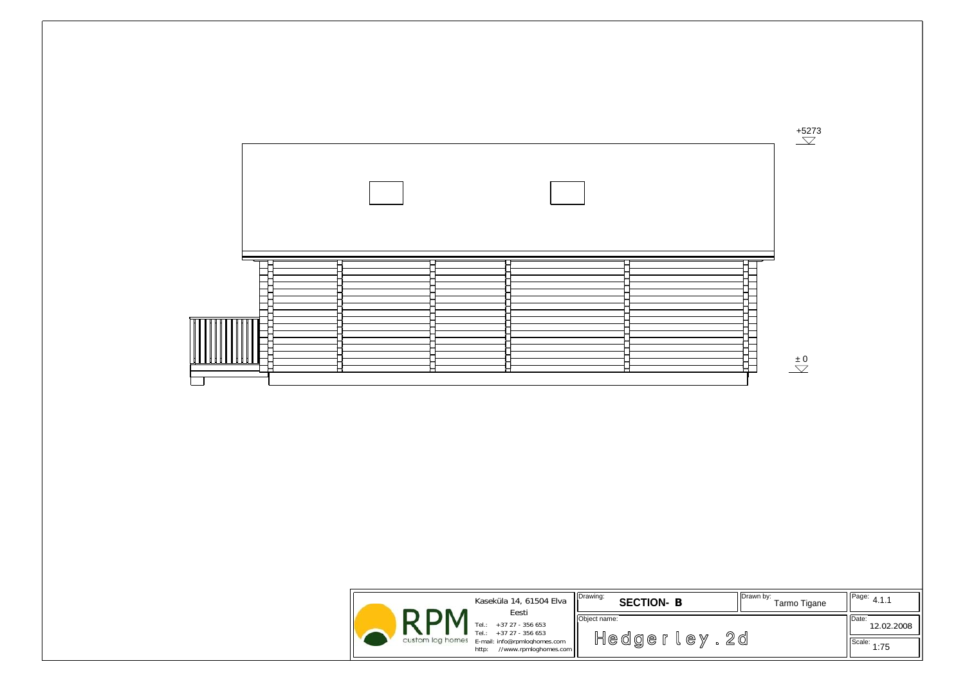

|                  | Kaseküla 14, 61504 Elva<br>Eesti                                 | Drawing:           | <b>SECTION-B</b> |  | Drawn by:<br>Tarmo Tigane | $H_{\text{Page:}}$ 4.1.1 |
|------------------|------------------------------------------------------------------|--------------------|------------------|--|---------------------------|--------------------------|
|                  | $+37$ 27 - 356 653<br>Tel.:<br>TeL:<br>$+37$ 27 - 356 653        | Object name:<br>2d |                  |  |                           | Date:<br>12.02.2008      |
| custom log homes | E-mail: info@rpmloghomes.com<br>//www.rpmloghomes.com  <br>http: |                    | Hedger<br>l e y  |  | Scale:<br>1:75            |                          |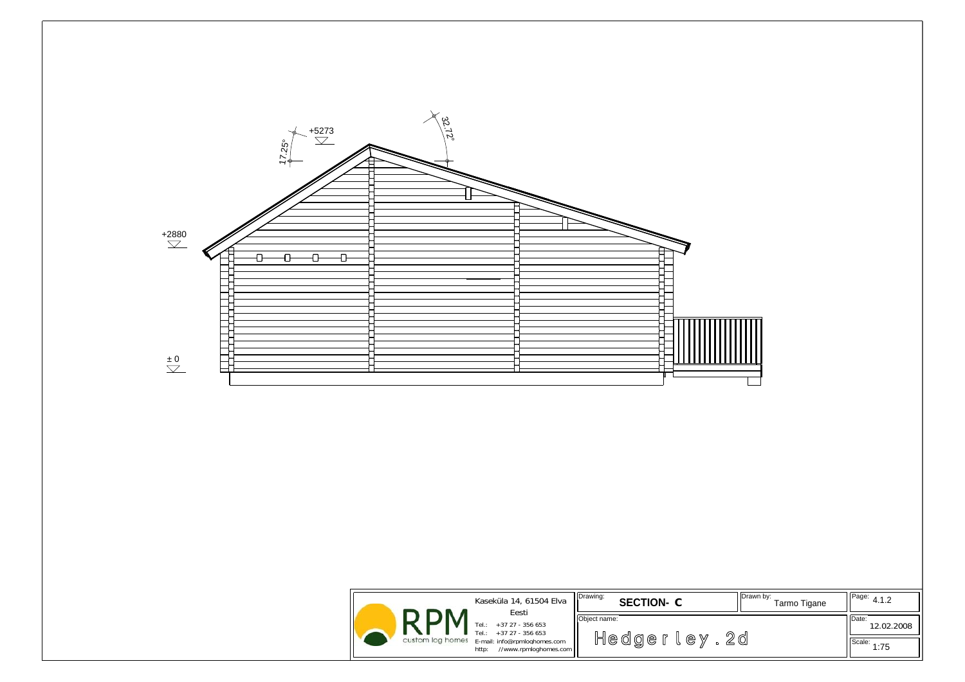

| Kaseküla 14, 61504 Elva<br>Eesti                                                                                                                 | Drawing:<br><b>SECTION-C</b>         | I IDrawn by:<br><sup>I</sup> IPage: $4.1.2$<br>Tarmo Tigane |
|--------------------------------------------------------------------------------------------------------------------------------------------------|--------------------------------------|-------------------------------------------------------------|
| +37 27 - 356 653<br>$Tel.$ :<br>Tel.:<br>$+37$ 27 - 356 653<br>custom log homes<br>E-mail: info@rpmloghomes.com<br>//www.rpmloghomes.com<br>http | Object name:<br>2 d<br>Hedger<br>e y | Date:<br>12.02.2008<br>IScale:<br>1:75                      |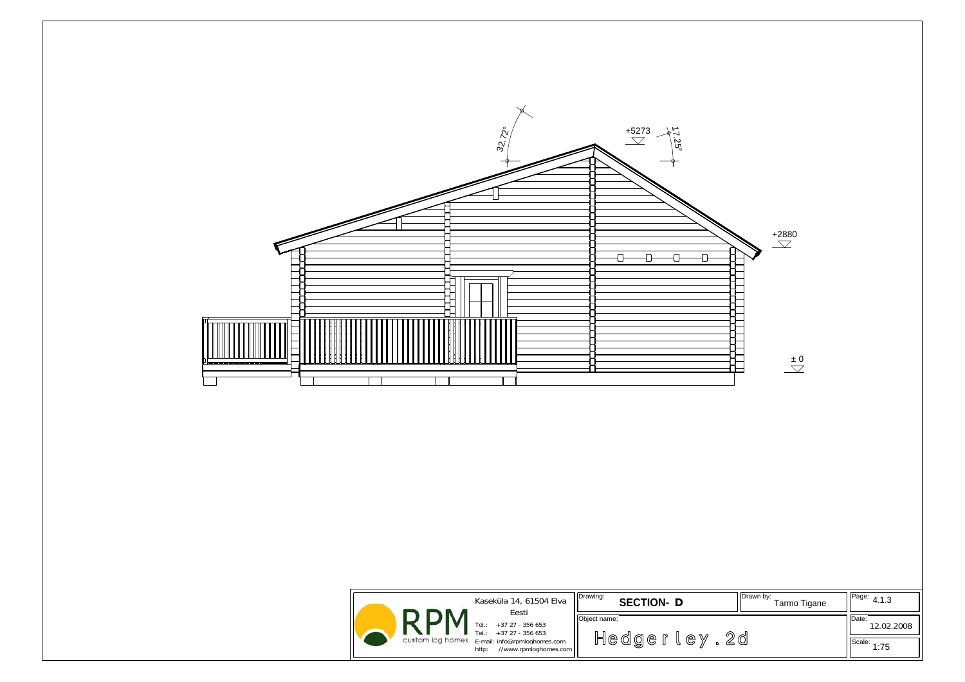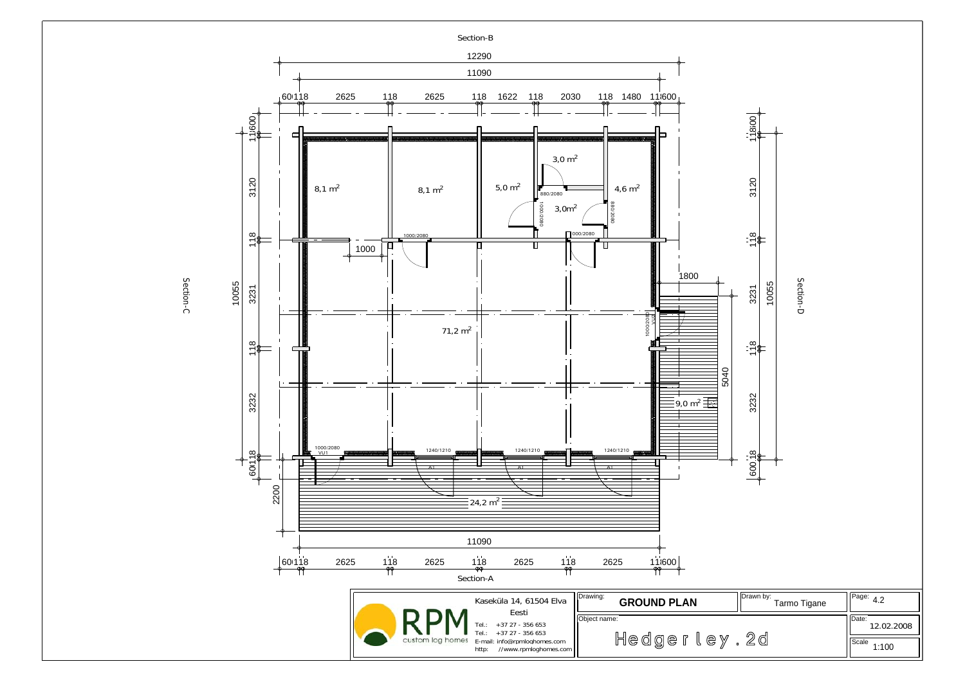